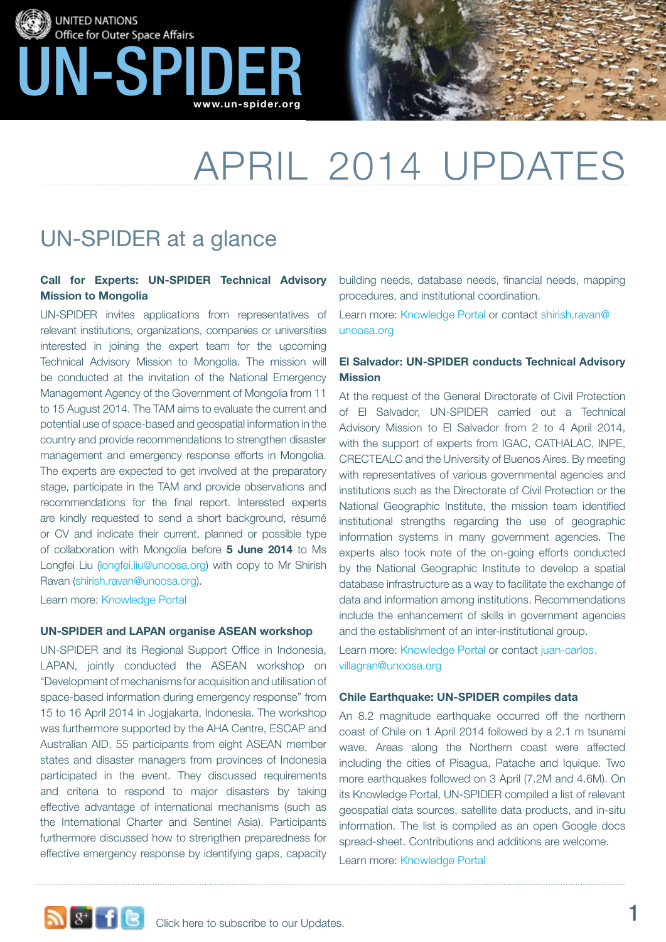



# april 2014 Updates

### UN-SPIDER at a glance

#### **Call for Experts: UN-SPIDER Technical Advisory Mission to Mongolia**

UN-SPIDER invites applications from representatives of relevant institutions, organizations, companies or universities interested in joining the expert team for the upcoming Technical Advisory Mission to Mongolia. The mission will be conducted at the invitation of the National Emergency Management Agency of the Government of Mongolia from 11 to 15 August 2014. The TAM aims to evaluate the current and potential use of space-based and geospatial information in the country and provide recommendations to strengthen disaster management and emergency response efforts in Mongolia. The experts are expected to get involved at the preparatory stage, participate in the TAM and provide observations and recommendations for the final report. Interested experts are kindly requested to send a short background, résumé or CV and indicate their current, planned or possible type of collaboration with Mongolia before **5 June 2014** to Ms Longfei Liu (longfei.liu@unoosa.org) with copy to Mr Shirish Ravan (shirish.ravan@unoosa.org).

Learn more: [Knowledge Portal](http://www.un-spider.org/about-us/news/call-experts-un-spider-technical-advisory-mission-mongolia)

#### **UN-SPIDER and LAPAN organise ASEAN workshop**

UN-SPIDER and its Regional Support Office in Indonesia, LAPAN, jointly conducted the ASEAN workshop on "Development of mechanisms for acquisition and utilisation of space-based information during emergency response" from 15 to 16 April 2014 in Jogjakarta, Indonesia. The workshop was furthermore supported by the AHA Centre, ESCAP and Australian AID. 55 participants from eight ASEAN member states and disaster managers from provinces of Indonesia participated in the event. They discussed requirements and criteria to respond to major disasters by taking effective advantage of international mechanisms (such as the International Charter and Sentinel Asia). Participants furthermore discussed how to strengthen preparedness for effective emergency response by identifying gaps, capacity

building needs, database needs, financial needs, mapping procedures, and institutional coordination.

Learn more: [Knowledge Portal](http://www.un-spider.org/about-us/news/un-spider-and-lapan-successfully-conclude-asean-workshop) or contact shirish.ravan@ unoosa.org

#### **El Salvador: UN-SPIDER conducts Technical Advisory Mission**

At the request of the General Directorate of Civil Protection of El Salvador, UN-SPIDER carried out a Technical Advisory Mission to El Salvador from 2 to 4 April 2014, with the support of experts from IGAC, CATHALAC, INPE, CRECTEALC and the University of Buenos Aires. By meeting with representatives of various governmental agencies and institutions such as the Directorate of Civil Protection or the National Geographic Institute, the mission team identified institutional strengths regarding the use of geographic information systems in many government agencies. The experts also took note of the on-going efforts conducted by the National Geographic Institute to develop a spatial database infrastructure as a way to facilitate the exchange of data and information among institutions. Recommendations include the enhancement of skills in government agencies and the establishment of an inter-institutional group.

Learn more: [Knowledge Portal](http://www.un-spider.org/about-us/news/un-spider-successfully-conducts-tam-el-salvador) or contact [juan-carlos.](mailto:juan-carlos.villagran%40unoosa.org?subject=) [villagran@unoosa.org](mailto:juan-carlos.villagran%40unoosa.org?subject=)

#### **Chile Earthquake: UN-SPIDER compiles data**

An 8.2 magnitude earthquake occurred off the northern coast of Chile on 1 April 2014 followed by a 2.1 m tsunami wave. Areas along the Northern coast were affected including the cities of Pisagua, Patache and Iquique. Two more earthquakes followed on 3 April (7.2M and 4.6M). On its Knowledge Portal, UN-SPIDER compiled a list of relevant geospatial data sources, satellite data products, and in-situ information. The list is compiled as an open Google docs spread-sheet. Contributions and additions are welcome. Learn more: [Knowledge Portal](http://www.un-spider.org/advisory-support/emergency-support/data-compilation-chile-earthquake-and-tsunami_042014)

**1** a<sup>+</sup> **1 C** [Click here to subscribe to our Updates.](http://www.un-spider.org/howto-manage-subscriptions)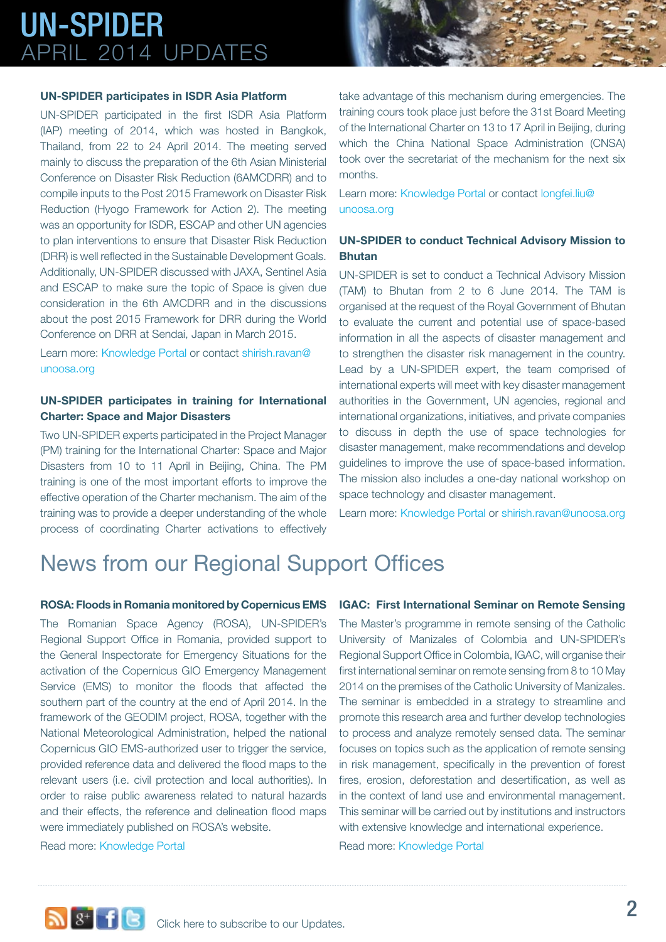#### **UN-SPIDER participates in ISDR Asia Platform**

UN-SPIDER participated in the first ISDR Asia Platform (IAP) meeting of 2014, which was hosted in Bangkok, Thailand, from 22 to 24 April 2014. The meeting served mainly to discuss the preparation of the 6th Asian Ministerial Conference on Disaster Risk Reduction (6AMCDRR) and to compile inputs to the Post 2015 Framework on Disaster Risk Reduction (Hyogo Framework for Action 2). The meeting was an opportunity for ISDR, ESCAP and other UN agencies to plan interventions to ensure that Disaster Risk Reduction (DRR) is well reflected in the Sustainable Development Goals. Additionally, UN-SPIDER discussed with JAXA, Sentinel Asia and ESCAP to make sure the topic of Space is given due consideration in the 6th AMCDRR and in the discussions about the post 2015 Framework for DRR during the World Conference on DRR at Sendai, Japan in March 2015.

Learn more[: Knowledge Portal o](http://www.un-spider.org/about-us/news/un-spider-participated-isdr-asia-platform)r contact shirish.ravan@ unoosa.org

#### **UN-SPIDER participates in training for International Charter: Space and Major Disasters**

Two UN-SPIDER experts participated in the Project Manager (PM) training for the International Charter: Space and Major Disasters from 10 to 11 April in Beijing, China. The PM training is one of the most important efforts to improve the effective operation of the Charter mechanism. The aim of the training was to provide a deeper understanding of the whole process of coordinating Charter activations to effectively

take advantage of this mechanism during emergencies. The training cours took place just before the 31st Board Meeting of the International Charter on 13 to 17 April in Beijing, during which the China National Space Administration (CNSA) took over the secretariat of the mechanism for the next six months.

Learn more: [Knowledge Portal](http://www.un-spider.org/about-us/news/un-spider-participates-training-international-charter-space-and-major-disasters) or contact longfei.liu@ unoosa.org

#### **UN-SPIDER to conduct Technical Advisory Mission to Bhutan**

UN-SPIDER is set to conduct a Technical Advisory Mission (TAM) to Bhutan from 2 to 6 June 2014. The TAM is organised at the request of the Royal Government of Bhutan to evaluate the current and potential use of space-based information in all the aspects of disaster management and to strengthen the disaster risk management in the country. Lead by a UN-SPIDER expert, the team comprised of international experts will meet with key disaster management authorities in the Government, UN agencies, regional and international organizations, initiatives, and private companies to discuss in depth the use of space technologies for disaster management, make recommendations and develop guidelines to improve the use of space-based information. The mission also includes a one-day national workshop on space technology and disaster management.

Learn more[: Knowledge Portal](http://www.un-spider.org/about-us/news/un-spider-conduct-technical-advisory-mission-bhutan) or shirish.ravan@unoosa.org

### News from our Regional Support Offices

#### **ROSA: Floods in Romania monitored by Copernicus EMS**

The Romanian Space Agency (ROSA), UN-SPIDER's Regional Support Office in Romania, provided support to the General Inspectorate for Emergency Situations for the activation of the Copernicus GIO Emergency Management Service (EMS) to monitor the floods that affected the southern part of the country at the end of April 2014. In the framework of the GEODIM project, ROSA, together with the National Meteorological Administration, helped the national Copernicus GIO EMS-authorized user to trigger the service, provided reference data and delivered the flood maps to the relevant users (i.e. civil protection and local authorities). In order to raise public awareness related to natural hazards and their effects, the reference and delineation flood maps were immediately published on ROSA's website.

Read more: [Knowledge Portal](http://www.un-spider.org/about-us/news/floods-romania-monitored-copernicus-ems)

#### **IGAC: First International Seminar on Remote Sensing**

The Master's programme in remote sensing of the Catholic University of Manizales of Colombia and UN-SPIDER's Regional Support Office in Colombia, IGAC, will organise their first international seminar on remote sensing from 8 to 10 May 2014 on the premises of the Catholic University of Manizales. The seminar is embedded in a strategy to streamline and promote this research area and further develop technologies to process and analyze remotely sensed data. The seminar focuses on topics such as the application of remote sensing in risk management, specifically in the prevention of forest fires, erosion, deforestation and desertification, as well as in the context of land use and environmental management. This seminar will be carried out by institutions and instructors with extensive knowledge and international experience. Read more: [Knowledge Portal](http://www.un-spider.org/about-us/news/igac-first-international-seminar-remote-sensing)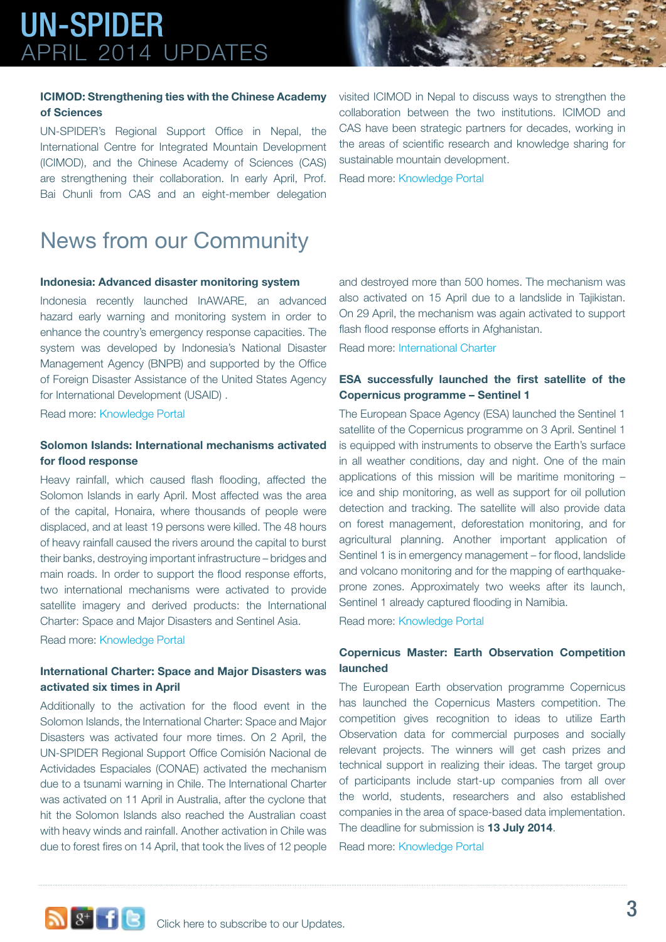#### **ICIMOD: Strengthening ties with the Chinese Academy of Sciences**

UN-SPIDER's Regional Support Office in Nepal, the International Centre for Integrated Mountain Development (ICIMOD), and the Chinese Academy of Sciences (CAS) are strengthening their collaboration. In early April, Prof. Bai Chunli from CAS and an eight-member delegation

visited ICIMOD in Nepal to discuss ways to strengthen the collaboration between the two institutions. ICIMOD and CAS have been strategic partners for decades, working in the areas of scientific research and knowledge sharing for sustainable mountain development.

Read more: [Knowledge Portal](http://www.un-spider.org/about-us/news/icimod-and-china-strengthen-ties)

### News from our Community

#### **Indonesia: Advanced disaster monitoring system**

Indonesia recently launched InAWARE, an advanced hazard early warning and monitoring system in order to enhance the country's emergency response capacities. The system was developed by Indonesia's National Disaster Management Agency (BNPB) and supported by the Office of Foreign Disaster Assistance of the United States Agency for International Development (USAID) .

Read more: [Knowledge Portal](http://www.un-spider.org/about-us/news/indonesia-launch-advanced-disaster-monitoring-system)

#### **Solomon Islands: International mechanisms activated for flood response**

Heavy rainfall, which caused flash flooding, affected the Solomon Islands in early April. Most affected was the area of the capital, Honaira, where thousands of people were displaced, and at least 19 persons were killed. The 48 hours of heavy rainfall caused the rivers around the capital to burst their banks, destroying important infrastructure – bridges and main roads. In order to support the flood response efforts, two international mechanisms were activated to provide satellite imagery and derived products: the International Charter: Space and Major Disasters and Sentinel Asia.

Read more: [Knowledge Portal](http://www.un-spider.org/about-us/news/solomon-islands-international-charter-and-sentinel-asia-provide-maps-and-imagery-flood)

#### **International Charter: Space and Major Disasters was activated six times in April**

Additionally to the activation for the flood event in the Solomon Islands, the International Charter: Space and Major Disasters was activated four more times. On 2 April, the UN-SPIDER Regional Support Office Comisión Nacional de Actividades Espaciales (CONAE) activated the mechanism due to a tsunami warning in Chile. The International Charter was activated on 11 April in Australia, after the cyclone that hit the Solomon Islands also reached the Australian coast with heavy winds and rainfall. Another activation in Chile was due to forest fires on 14 April, that took the lives of 12 people and destroyed more than 500 homes. The mechanism was also activated on 15 April due to a landslide in Tajikistan. On 29 April, the mechanism was again activated to support flash flood response efforts in Afghanistan.

Read more: [International Charter](http://www.disasterscharter.org/web/charter/activations)

#### **ESA successfully launched the first satellite of the Copernicus programme – Sentinel 1**

The European Space Agency (ESA) launched the Sentinel 1 satellite of the Copernicus programme on 3 April. Sentinel 1 is equipped with instruments to observe the Earth's surface in all weather conditions, day and night. One of the main applications of this mission will be maritime monitoring – ice and ship monitoring, as well as support for oil pollution detection and tracking. The satellite will also provide data on forest management, deforestation monitoring, and for agricultural planning. Another important application of Sentinel 1 is in emergency management – for flood, landslide and volcano monitoring and for the mapping of earthquakeprone zones. Approximately two weeks after its launch, Sentinel 1 already captured flooding in Namibia.

Read more: [Knowledge Portal](http://www.un-spider.org/about-us/news/esa-successful-launch-first-mission-eu-copernicus-programme)

#### **Copernicus Master: Earth Observation Competition launched**

The European Earth observation programme Copernicus has launched the Copernicus Masters competition. The competition gives recognition to ideas to utilize Earth Observation data for commercial purposes and socially relevant projects. The winners will get cash prizes and technical support in realizing their ideas. The target group of participants include start-up companies from all over the world, students, researchers and also established companies in the area of space-based data implementation. The deadline for submission is **13 July 2014**.

Read more: [Knowledge Portal](http://www.un-spider.org/about-us/news/copernicus-master-earth-observation-competition-launched)

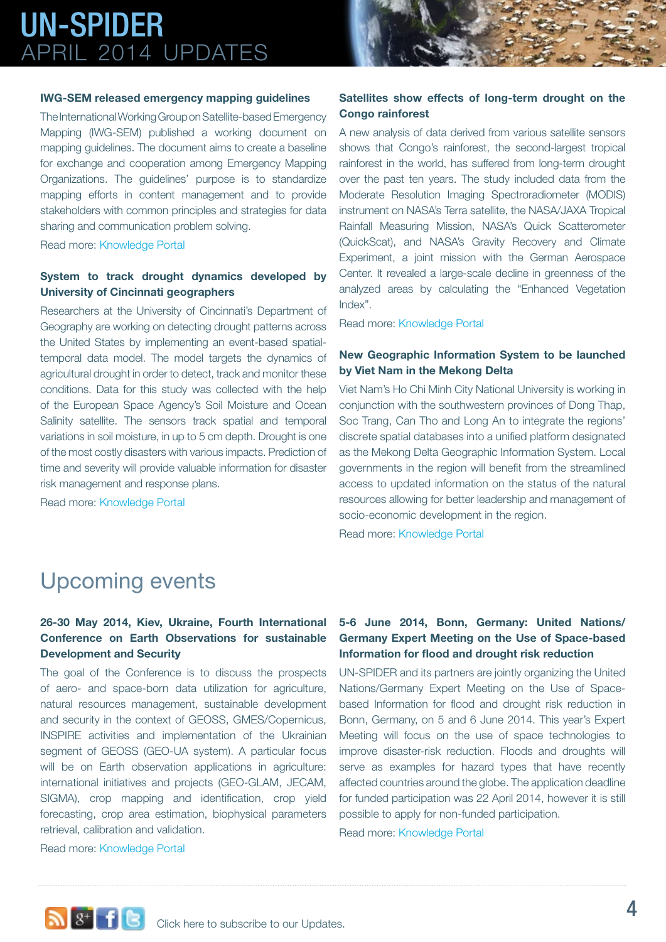#### **IWG-SEM released emergency mapping guidelines**

The International Working Group on Satellite-based Emergency Mapping (IWG-SEM) published a working document on mapping guidelines. The document aims to create a baseline for exchange and cooperation among Emergency Mapping Organizations. The guidelines' purpose is to standardize mapping efforts in content management and to provide stakeholders with common principles and strategies for data sharing and communication problem solving.

Read more: [Knowledge Portal](http://www.un-spider.org/about-us/news/iwg-sem-released-emergency-mapping-guidelines)

#### **System to track drought dynamics developed by University of Cincinnati geographers**

Researchers at the University of Cincinnati's Department of Geography are working on detecting drought patterns across the United States by implementing an event-based spatialtemporal data model. The model targets the dynamics of agricultural drought in order to detect, track and monitor these conditions. Data for this study was collected with the help of the European Space Agency's Soil Moisture and Ocean Salinity satellite. The sensors track spatial and temporal variations in soil moisture, in up to 5 cm depth. Drought is one of the most costly disasters with various impacts. Prediction of time and severity will provide valuable information for disaster risk management and response plans.

Read more: [Knowledge Portal](http://www.un-spider.org/about-us/news/system-track-drought-dynamics-developed-university-cincinnati-geographers)

#### **Satellites show effects of long-term drought on the Congo rainforest**

A new analysis of data derived from various satellite sensors shows that Congo's rainforest, the second-largest tropical rainforest in the world, has suffered from long-term drought over the past ten years. The study included data from the Moderate Resolution Imaging Spectroradiometer (MODIS) instrument on NASA's Terra satellite, the NASA/JAXA Tropical Rainfall Measuring Mission, NASA's Quick Scatterometer (QuickScat), and NASA's Gravity Recovery and Climate Experiment, a joint mission with the German Aerospace Center. It revealed a large-scale decline in greenness of the analyzed areas by calculating the "Enhanced Vegetation Index".

Read more: [Knowledge Portal](http://www.un-spider.org/about-us/news/satellites-show-effects-long-term-drought-congo-rainforest)

#### **New Geographic Information System to be launched by Viet Nam in the Mekong Delta**

Viet Nam's Ho Chi Minh City National University is working in conjunction with the southwestern provinces of Dong Thap, Soc Trang, Can Tho and Long An to integrate the regions' discrete spatial databases into a unified platform designated as the Mekong Delta Geographic Information System. Local governments in the region will benefit from the streamlined access to updated information on the status of the natural resources allowing for better leadership and management of socio-economic development in the region.

Read more: [Knowledge Portal](http://www.un-spider.org/about-us/news/new-gis-be-launched-vietnam-mekong-delta )

### Upcoming events

#### **26-30 May 2014, Kiev, Ukraine, Fourth International Conference on Earth Observations for sustainable Development and Security**

The goal of the Conference is to discuss the prospects of aero- and space-born data utilization for agriculture, natural resources management, sustainable development and security in the context of GEOSS, GMES/Copernicus, INSPIRE activities and implementation of the Ukrainian segment of GEOSS (GEO-UA system). A particular focus will be on Earth observation applications in agriculture: international initiatives and projects (GEO-GLAM, JECAM, SIGMA), crop mapping and identification, crop yield forecasting, crop area estimation, biophysical parameters retrieval, calibration and validation.

#### **5-6 June 2014, Bonn, Germany: United Nations/ Germany Expert Meeting on the Use of Space-based Information for flood and drought risk reduction**

UN-SPIDER and its partners are jointly organizing the United Nations/Germany Expert Meeting on the Use of Spacebased Information for flood and drought risk reduction in Bonn, Germany, on 5 and 6 June 2014. This year's Expert Meeting will focus on the use of space technologies to improve disaster-risk reduction. Floods and droughts will serve as examples for hazard types that have recently affected countries around the globe. The application deadline for funded participation was 22 April 2014, however it is still possible to apply for non-funded participation.

Read more: [Knowledge Portal](http://www.un-spider.org/BonnExpertMeeting2014)

Read more: [Knowledge Portal](http://www.un-spider.org/event/7248/2014-05-26/fourth-international-conference-earth-observations-sustainable-development-and)